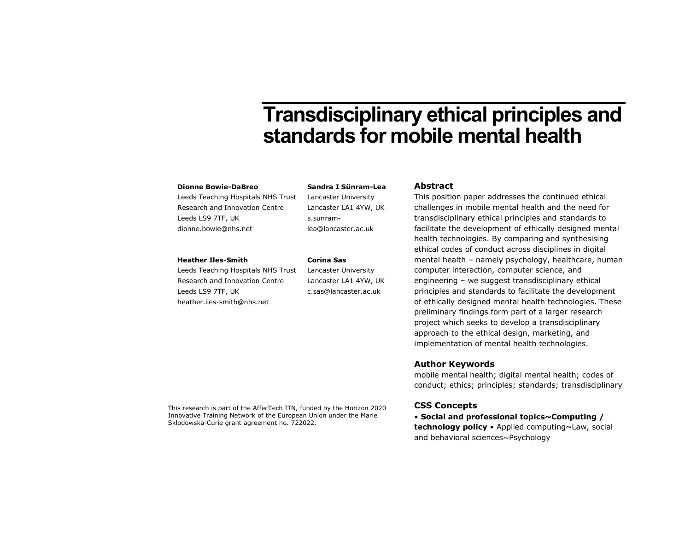# Transdisciplinary ethical principles and standards for mobile mental health

#### Dionne Bowie-DaBreo

Leeds Teaching Hospitals NHS Trust Research and Innovation Centre Leeds LS9 7TF, UK dionne.bowie@nhs.net

#### Heather Iles-Smith

Leeds Teaching Hospitals NHS Trust Research and Innovation Centre Leeds LS9 7TF, UK heather.iles-smith@nhs.net

Sandra I Sünram-Lea Lancaster University

Lancaster LA1 4YW, UK s.sunramlea@lancaster.ac.uk

#### Corina Sas

Lancaster University Lancaster LA1 4YW, UK c.sas@lancaster.ac.uk

#### Abstract

This position paper addresses the continued ethical challenges in mobile mental health and the need for transdisciplinary ethical principles and standards to facilitate the development of ethically designed mental health technologies. By comparing and synthesising ethical codes of conduct across disciplines in digital mental health – namely psychology, healthcare, human computer interaction, computer science, and engineering – we suggest transdisciplinary ethical principles and standards to facilitate the development of ethically designed mental health technologies. These preliminary findings form part of a larger research project which seeks to develop a transdisciplinary approach to the ethical design, marketing, and implementation of mental health technologies.

#### Author Keywords

mobile mental health; digital mental health; codes of conduct; ethics; principles; standards; transdisciplinary

This research is part of the AffecTech ITN, funded by the Horizon 2020 Innovative Training Network of the European Union under the Marie Skłodowska-Curie grant agreement no. 722022.

#### CSS Concepts

• Social and professional topics~Computing / technology policy • Applied computing~Law, social and behavioral sciences~Psychology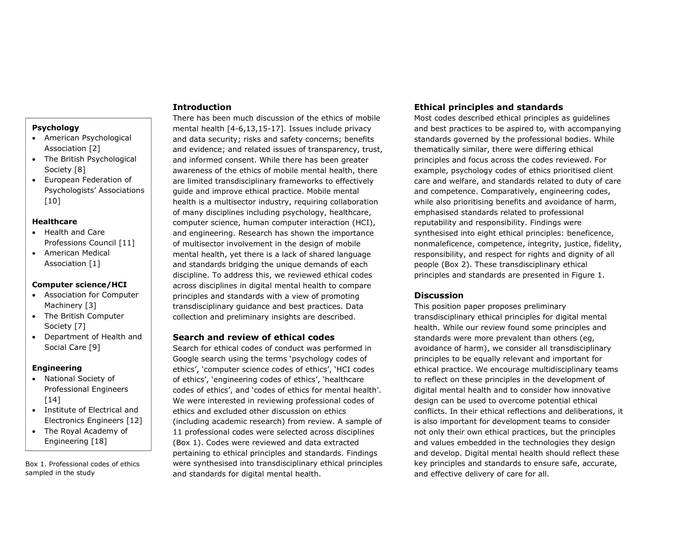#### **Psychology**

- American Psychological Association [2]
- The British Psychological Society [8]
- European Federation of Psychologists' Associations [10]

#### Healthcare

- Health and Care Professions Council [11]
- American Medical Association [1]

#### Computer science/HCI

- Association for Computer Machinery [3]
- The British Computer Society [7]
- Department of Health and Social Care [9]

#### Engineering

- National Society of Professional Engineers [14]
- Institute of Electrical and Electronics Engineers [12]
- The Royal Academy of Engineering [18]

Box 1. Professional codes of ethics sampled in the study

## Introduction

There has been much discussion of the ethics of mobile mental health [4-6,13,15-17]. Issues include privacy and data security; risks and safety concerns; benefits and evidence; and related issues of transparency, trust, and informed consent. While there has been greater awareness of the ethics of mobile mental health, there are limited transdisciplinary frameworks to effectively guide and improve ethical practice. Mobile mental health is a multisector industry, requiring collaboration of many disciplines including psychology, healthcare, computer science, human computer interaction (HCI), and engineering. Research has shown the importance of multisector involvement in the design of mobile mental health, yet there is a lack of shared language and standards bridging the unique demands of each discipline. To address this, we reviewed ethical codes across disciplines in digital mental health to compare principles and standards with a view of promoting transdisciplinary guidance and best practices. Data collection and preliminary insights are described.

## Search and review of ethical codes

Search for ethical codes of conduct was performed in Google search using the terms 'psychology codes of ethics', 'computer science codes of ethics', 'HCI codes of ethics', 'engineering codes of ethics', 'healthcare codes of ethics', and 'codes of ethics for mental health'. We were interested in reviewing professional codes of ethics and excluded other discussion on ethics (including academic research) from review. A sample of 11 professional codes were selected across disciplines (Box 1). Codes were reviewed and data extracted pertaining to ethical principles and standards. Findings were synthesised into transdisciplinary ethical principles and standards for digital mental health.

## Ethical principles and standards

Most codes described ethical principles as guidelines and best practices to be aspired to, with accompanying standards governed by the professional bodies. While thematically similar, there were differing ethical principles and focus across the codes reviewed. For example, psychology codes of ethics prioritised client care and welfare, and standards related to duty of care and competence. Comparatively, engineering codes, while also prioritising benefits and avoidance of harm, emphasised standards related to professional reputability and responsibility. Findings were synthesised into eight ethical principles: beneficence, nonmaleficence, competence, integrity, justice, fidelity, responsibility, and respect for rights and dignity of all people (Box 2). These transdisciplinary ethical principles and standards are presented in Figure 1.

#### **Discussion**

This position paper proposes preliminary transdisciplinary ethical principles for digital mental health. While our review found some principles and standards were more prevalent than others (eg, avoidance of harm), we consider all transdisciplinary principles to be equally relevant and important for ethical practice. We encourage multidisciplinary teams to reflect on these principles in the development of digital mental health and to consider how innovative design can be used to overcome potential ethical conflicts. In their ethical reflections and deliberations, it is also important for development teams to consider not only their own ethical practices, but the principles and values embedded in the technologies they design and develop. Digital mental health should reflect these key principles and standards to ensure safe, accurate, and effective delivery of care for all.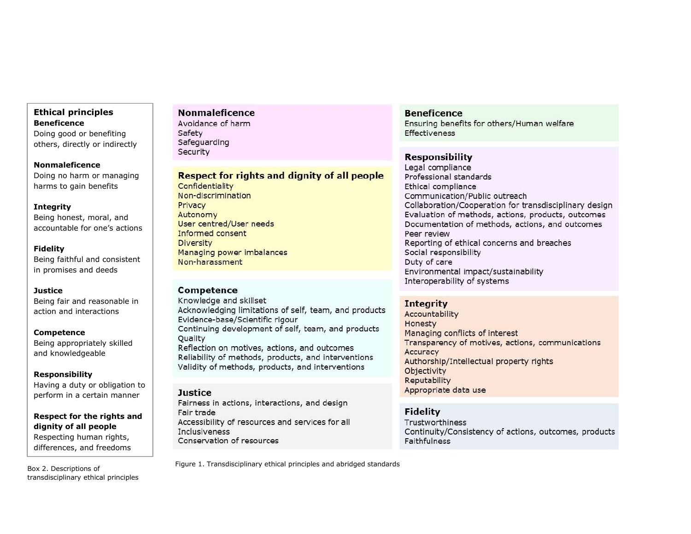# Ethical principles **Beneficence**

Doing good or benefiting others, directly or indirectly

## Nonmaleficence

Doing no harm or managing harms to gain benefits

#### Integrity

Being honest, moral, and accountable for one's actions

#### Fidelity

Being faithful and consistent in promises and deeds

#### **Justice**

Being fair and reasonable in action and interactions

#### Competence

Being appropriately skilled and knowledgeable

#### Responsibility

Having a duty or obligation to perform in a certain manner

## Respect for the rights and dignity of all people Respecting human rights, differences, and freedoms

Box 2. Descriptions of transdisciplinary ethical principles

# **Nonmaleficence**

Avoidance of harm Safety Safeguarding Security

## **Respect for rights and dignity of all people**

Confidentiality Non-discrimination Privacy Autonomy User centred/User needs Informed consent Diversity Managing power imbalances Non-harassment

## **Competence**

Knowledge and skillset Acknowledging limitations of self, team, and products Evidence-base/Scientific rigour Continuing development of self, team, and products Quality Reflection on motives, actions, and outcomes Reliability of methods, products, and interventions

Validity of methods, products, and interventions

### Justice

Fairness in actions, interactions, and design Fair trade Accessibility of resources and services for all **Inclusiveness** Conservation of resources

**Beneficence** 

Ensuring benefits for others/Human welfare **Effectiveness** 

# Responsibility

Legal compliance Professional standards Ethical compliance Communication/Public outreach Collaboration/Cooperation for transdisciplinary design Evaluation of methods, actions, products, outcomes Documentation of methods, actions, and outcomes Peer review Reporting of ethical concerns and breaches Social responsibility Duty of care Environmental impact/sustainability Interoperability of systems

## **Integrity**

Accountability Honesty Managing conflicts of interest Transparency of motives, actions, communications Accuracy Authorship/Intellectual property rights Objectivity Reputability Appropriate data use

## **Fidelity**

Trustworthiness Continuity/Consistency of actions, outcomes, products Faithfulness

Figure 1. Transdisciplinary ethical principles and abridged standards